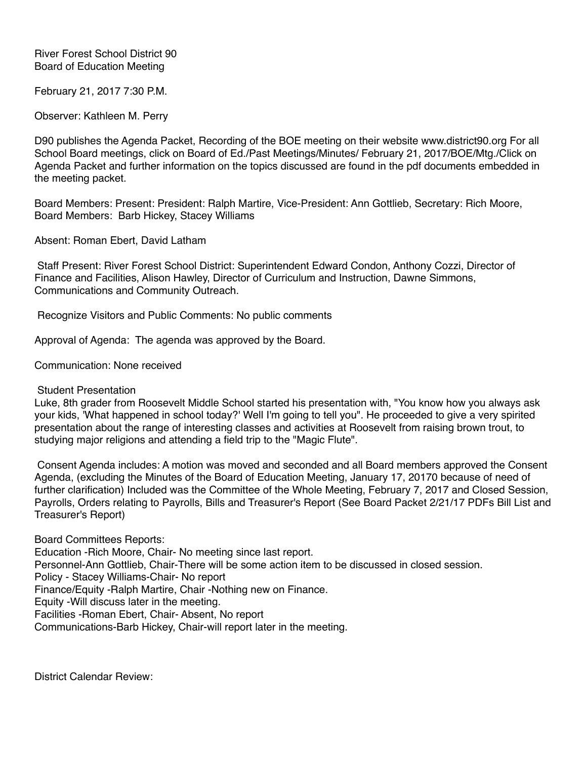## River Forest School District 90 Board of Education Meeting

February 21, 2017 7:30 P.M.

Observer: Kathleen M. Perry

D90 publishes the Agenda Packet, Recording of the BOE meeting on their website www.district90.org For all School Board meetings, click on Board of Ed./Past Meetings/Minutes/ February 21, 2017/BOE/Mtg./Click on Agenda Packet and further information on the topics discussed are found in the pdf documents embedded in the meeting packet.

Board Members: Present: President: Ralph Martire, Vice-President: Ann Gottlieb, Secretary: Rich Moore, Board Members: Barb Hickey, Stacey Williams

Absent: Roman Ebert, David Latham

 Staff Present: River Forest School District: Superintendent Edward Condon, Anthony Cozzi, Director of Finance and Facilities, Alison Hawley, Director of Curriculum and Instruction, Dawne Simmons, Communications and Community Outreach.

Recognize Visitors and Public Comments: No public comments

Approval of Agenda: The agenda was approved by the Board.

Communication: None received

Student Presentation

Luke, 8th grader from Roosevelt Middle School started his presentation with, "You know how you always ask your kids, 'What happened in school today?' Well I'm going to tell you". He proceeded to give a very spirited presentation about the range of interesting classes and activities at Roosevelt from raising brown trout, to studying major religions and attending a field trip to the "Magic Flute".

 Consent Agenda includes: A motion was moved and seconded and all Board members approved the Consent Agenda, (excluding the Minutes of the Board of Education Meeting, January 17, 20170 because of need of further clarification) Included was the Committee of the Whole Meeting, February 7, 2017 and Closed Session, Payrolls, Orders relating to Payrolls, Bills and Treasurer's Report (See Board Packet 2/21/17 PDFs Bill List and Treasurer's Report)

Board Committees Reports: Education -Rich Moore, Chair- No meeting since last report. Personnel-Ann Gottlieb, Chair-There will be some action item to be discussed in closed session. Policy - Stacey Williams-Chair- No report Finance/Equity -Ralph Martire, Chair -Nothing new on Finance. Equity -Will discuss later in the meeting. Facilities -Roman Ebert, Chair- Absent, No report Communications-Barb Hickey, Chair-will report later in the meeting.

District Calendar Review: